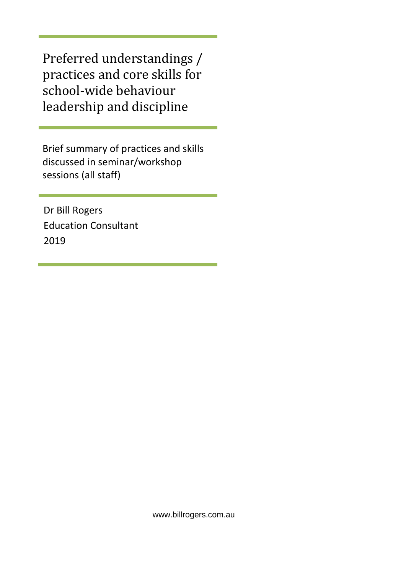Preferred understandings / practices and core skills for school-wide behaviour leadership and discipline

Brief summary of practices and skills discussed in seminar/workshop sessions (all staff)

Dr Bill Rogers Education Consultant 2019

www.billrogers.com.au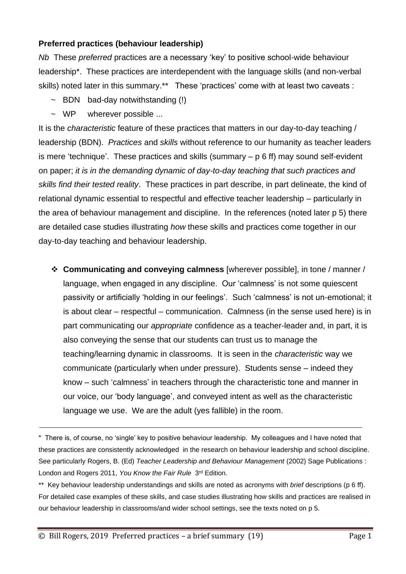## **Preferred practices (behaviour leadership)**

*Nb* These *preferred* practices are a necessary 'key' to positive school-wide behaviour leadership\*. These practices are interdependent with the language skills (and non-verbal skills) noted later in this summary.\*\* These 'practices' come with at least two caveats :

- $\sim$  BDN bad-day notwithstanding (!)
- ~ WP wherever possible ...

It is the *characteristic* feature of these practices that matters in our day-to-day teaching / leadership (BDN). *Practices* and *skills* without reference to our humanity as teacher leaders is mere 'technique'. These practices and skills (summary – p 6 ff) may sound self-evident on paper; *it is in the demanding dynamic of day-to-day teaching that such practices and skills find their tested reality*. These practices in part describe, in part delineate, the kind of relational dynamic essential to respectful and effective teacher leadership – particularly in the area of behaviour management and discipline. In the references (noted later p 5) there are detailed case studies illustrating *how* these skills and practices come together in our day-to-day teaching and behaviour leadership.

❖ **Communicating and conveying calmness** [wherever possible], in tone / manner / language, when engaged in any discipline. Our 'calmness' is not some quiescent passivity or artificially 'holding in our feelings'. Such 'calmness' is not un-emotional; it is about clear – respectful – communication. Calmness (in the sense used here) is in part communicating our *appropriate* confidence as a teacher-leader and, in part, it is also conveying the sense that our students can trust us to manage the teaching/learning dynamic in classrooms. It is seen in the *characteristic* way we communicate (particularly when under pressure). Students sense – indeed they know – such 'calmness' in teachers through the characteristic tone and manner in our voice, our 'body language', and conveyed intent as well as the characteristic language we use. We are the adult (yes fallible) in the room.

<sup>\*</sup> There is, of course, no 'single' key to positive behaviour leadership. My colleagues and I have noted that these practices are consistently acknowledged in the research on behaviour leadership and school discipline. See particularly Rogers, B. (Ed) *Teacher Leadership and Behaviour Management* (2002) Sage Publications : London and Rogers 2011, You Know the Fair Rule 3<sup>rd</sup> Edition.

<sup>\*\*</sup> Key behaviour leadership understandings and skills are noted as acronyms with *brief* descriptions (p 6 ff). For detailed case examples of these skills, and case studies illustrating how skills and practices are realised in our behaviour leadership in classrooms/and wider school settings, see the texts noted on p 5.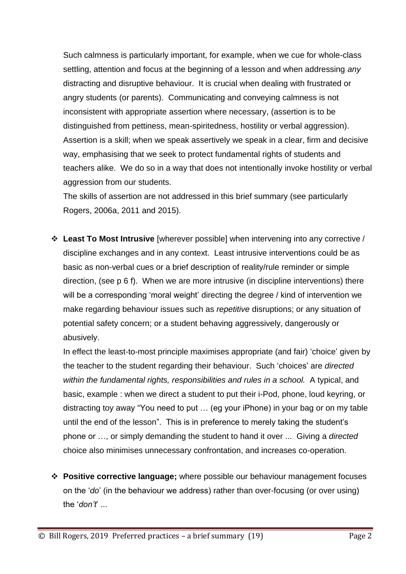Such calmness is particularly important, for example, when we cue for whole-class settling, attention and focus at the beginning of a lesson and when addressing *any* distracting and disruptive behaviour. It is crucial when dealing with frustrated or angry students (or parents). Communicating and conveying calmness is not inconsistent with appropriate assertion where necessary, (assertion is to be distinguished from pettiness, mean-spiritedness, hostility or verbal aggression). Assertion is a skill; when we speak assertively we speak in a clear, firm and decisive way, emphasising that we seek to protect fundamental rights of students and teachers alike. We do so in a way that does not intentionally invoke hostility or verbal aggression from our students.

The skills of assertion are not addressed in this brief summary (see particularly Rogers, 2006a, 2011 and 2015).

❖ **Least To Most Intrusive** [wherever possible] when intervening into any corrective / discipline exchanges and in any context. Least intrusive interventions could be as basic as non-verbal cues or a brief description of reality/rule reminder or simple direction, (see p 6 f). When we are more intrusive (in discipline interventions) there will be a corresponding 'moral weight' directing the degree / kind of intervention we make regarding behaviour issues such as *repetitive* disruptions; or any situation of potential safety concern; or a student behaving aggressively, dangerously or abusively.

In effect the least-to-most principle maximises appropriate (and fair) 'choice' given by the teacher to the student regarding their behaviour. Such 'choices' are *directed within the fundamental rights, responsibilities and rules in a school.* A typical, and basic, example : when we direct a student to put their i-Pod, phone, loud keyring, or distracting toy away "You need to put … (eg your iPhone) in your bag or on my table until the end of the lesson". This is in preference to merely taking the student's phone or …, or simply demanding the student to hand it over ... Giving a *directed* choice also minimises unnecessary confrontation, and increases co-operation.

❖ **Positive corrective language;** where possible our behaviour management focuses on the '*do*' (in the behaviour we address) rather than over-focusing (or over using) the '*don't*' ...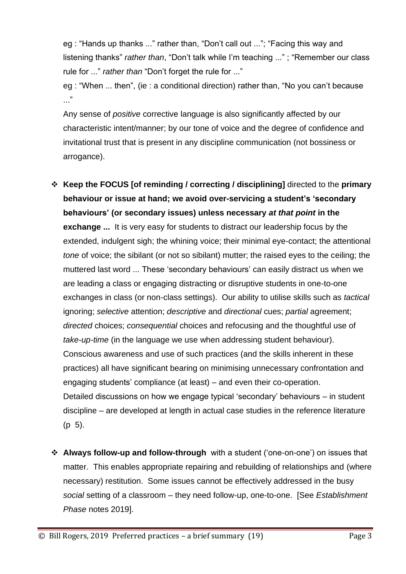eg : "Hands up thanks ..." rather than, "Don't call out ..."; "Facing this way and listening thanks" *rather than*, "Don't talk while I'm teaching ..." ; "Remember our class rule for ..." *rather than* "Don't forget the rule for ..."

eg : "When ... then", (ie : a conditional direction) rather than, "No you can't because ..."

Any sense of *positive* corrective language is also significantly affected by our characteristic intent/manner; by our tone of voice and the degree of confidence and invitational trust that is present in any discipline communication (not bossiness or arrogance).

- ❖ **Keep the FOCUS [of reminding / correcting / disciplining]** directed to the **primary behaviour or issue at hand; we avoid over-servicing a student's 'secondary behaviours' (or secondary issues) unless necessary** *at that point* **in the exchange ...** It is very easy for students to distract our leadership focus by the extended, indulgent sigh; the whining voice; their minimal eye-contact; the attentional *tone* of voice; the sibilant (or not so sibilant) mutter; the raised eyes to the ceiling; the muttered last word ... These 'secondary behaviours' can easily distract us when we are leading a class or engaging distracting or disruptive students in one-to-one exchanges in class (or non-class settings). Our ability to utilise skills such as *tactical*  ignoring; *selective* attention; *descriptive* and *directional* cues; *partial* agreement; *directed* choices; *consequential* choices and refocusing and the thoughtful use of *take-up-time* (in the language we use when addressing student behaviour). Conscious awareness and use of such practices (and the skills inherent in these practices) all have significant bearing on minimising unnecessary confrontation and engaging students' compliance (at least) – and even their co-operation. Detailed discussions on how we engage typical 'secondary' behaviours – in student discipline – are developed at length in actual case studies in the reference literature (p 5).
- ❖ **Always follow-up and follow-through** with a student ('one-on-one') on issues that matter. This enables appropriate repairing and rebuilding of relationships and (where necessary) restitution. Some issues cannot be effectively addressed in the busy *social* setting of a classroom – they need follow-up, one-to-one. [See *Establishment Phase* notes 2019].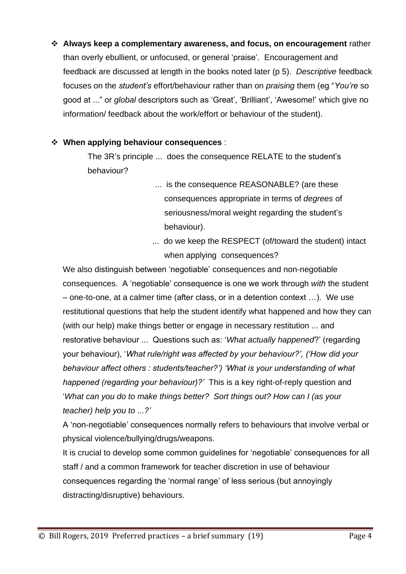❖ **Always keep a complementary awareness, and focus, on encouragement** rather than overly ebullient, or unfocused, or general 'praise'. Encouragement and feedback are discussed at length in the books noted later (p 5). *Descriptive* feedback focuses on the *student's* effort/behaviour rather than on *praising* them (eg "*You're* so good at ..." or *global* descriptors such as 'Great', 'Brilliant', 'Awesome!' which give no information/ feedback about the work/effort or behaviour of the student).

## ❖ **When applying behaviour consequences** :

The 3R's principle ... does the consequence RELATE to the student's behaviour?

- ... is the consequence REASONABLE? (are these consequences appropriate in terms of *degrees* of seriousness/moral weight regarding the student's behaviour).
- ... do we keep the RESPECT (of/toward the student) intact when applying consequences?

We also distinguish between 'negotiable' consequences and non-negotiable consequences. A 'negotiable' consequence is one we work through *with* the student – one-to-one, at a calmer time (after class, or in a detention context …). We use restitutional questions that help the student identify what happened and how they can (with our help) make things better or engage in necessary restitution ... and restorative behaviour ... Questions such as: '*What actually happened*?' (regarding your behaviour), '*What rule/right was affected by your behaviour?', ('How did your behaviour affect others : students/teacher?') 'What is your understanding of what happened (regarding your behaviour)?'* This is a key right-of-reply question and '*What can you do to make things better? Sort things out? How can I (as your teacher) help you to ...?'*

A 'non-negotiable' consequences normally refers to behaviours that involve verbal or physical violence/bullying/drugs/weapons.

It is crucial to develop some common guidelines for 'negotiable' consequences for all staff / and a common framework for teacher discretion in use of behaviour consequences regarding the 'normal range' of less serious (but annoyingly distracting/disruptive) behaviours.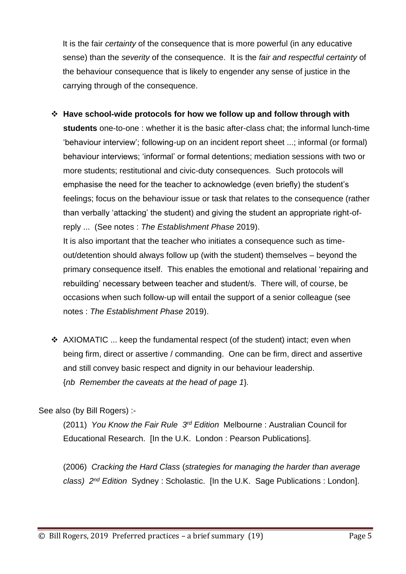It is the fair *certainty* of the consequence that is more powerful (in any educative sense) than the *severity* of the consequence. It is the *fair and respectful certainty* of the behaviour consequence that is likely to engender any sense of justice in the carrying through of the consequence.

- ❖ **Have school-wide protocols for how we follow up and follow through with students** one-to-one : whether it is the basic after-class chat; the informal lunch-time 'behaviour interview'; following-up on an incident report sheet ...; informal (or formal) behaviour interviews; 'informal' or formal detentions; mediation sessions with two or more students; restitutional and civic-duty consequences. Such protocols will emphasise the need for the teacher to acknowledge (even briefly) the student's feelings; focus on the behaviour issue or task that relates to the consequence (rather than verbally 'attacking' the student) and giving the student an appropriate right-ofreply ... (See notes : *The Establishment Phase* 2019). It is also important that the teacher who initiates a consequence such as timeout/detention should always follow up (with the student) themselves – beyond the primary consequence itself. This enables the emotional and relational 'repairing and rebuilding' necessary between teacher and student/s. There will, of course, be occasions when such follow-up will entail the support of a senior colleague (see
- ❖ AXIOMATIC ... keep the fundamental respect (of the student) intact; even when being firm, direct or assertive / commanding. One can be firm, direct and assertive and still convey basic respect and dignity in our behaviour leadership. {*nb Remember the caveats at the head of page 1*}*.*

See also (by Bill Rogers) :-

(2011) *You Know the Fair Rule 3 rd Edition* Melbourne : Australian Council for Educational Research. [In the U.K. London : Pearson Publications].

(2006) *Cracking the Hard Class* (*strategies for managing the harder than average class) 2nd Edition* Sydney : Scholastic. [In the U.K. Sage Publications : London].

notes : *The Establishment Phase* 2019).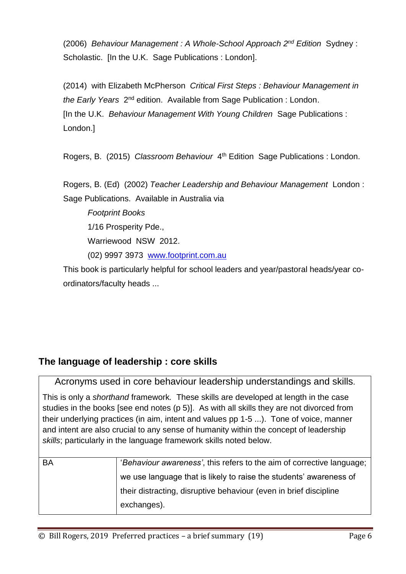(2006) *Behaviour Management : A Whole-School Approach 2 nd Edition* Sydney : Scholastic. In the U.K. Sage Publications : Londonl.

(2014) with Elizabeth McPherson *Critical First Steps : Behaviour Management in*  the Early Years 2<sup>nd</sup> edition. Available from Sage Publication : London. [In the U.K. *Behaviour Management With Young Children* Sage Publications : London.]

Rogers, B. (2015) Classroom Behaviour 4<sup>th</sup> Edition Sage Publications : London.

Rogers, B. (Ed) (2002) *Teacher Leadership and Behaviour Management* London : Sage Publications. Available in Australia via

*Footprint Books* 1/16 Prosperity Pde., Warriewood NSW 2012. (02) 9997 3973 [www.footprint.com.au](http://www.footprint.com.au/)

This book is particularly helpful for school leaders and year/pastoral heads/year coordinators/faculty heads ...

## **The language of leadership : core skills**

Acronyms used in core behaviour leadership understandings and skills.

This is only a *shorthand* framework*.* These skills are developed at length in the case studies in the books [see end notes (p 5)]. As with all skills they are not divorced from their underlying practices (in aim, intent and values pp 1-5 ...). Tone of voice, manner and intent are also crucial to any sense of humanity within the concept of leadership *skills*; particularly in the language framework skills noted below.

| BA | 'Behaviour awareness', this refers to the aim of corrective language; |
|----|-----------------------------------------------------------------------|
|    | we use language that is likely to raise the students' awareness of    |
|    | their distracting, disruptive behaviour (even in brief discipline     |
|    | exchanges).                                                           |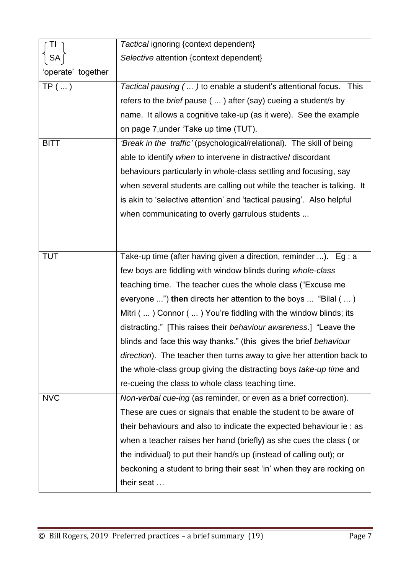| TI                 | Tactical ignoring {context dependent}                                  |
|--------------------|------------------------------------------------------------------------|
| <b>SA</b>          | Selective attention {context dependent}                                |
| 'operate' together |                                                                        |
| $TP$ ()            | Tactical pausing $()$ to enable a student's attentional focus. This    |
|                    | refers to the brief pause (  ) after (say) cueing a student/s by       |
|                    | name. It allows a cognitive take-up (as it were). See the example      |
|                    | on page 7, under 'Take up time (TUT).                                  |
| <b>BITT</b>        | 'Break in the traffic' (psychological/relational). The skill of being  |
|                    | able to identify when to intervene in distractive/ discordant          |
|                    | behaviours particularly in whole-class settling and focusing, say      |
|                    | when several students are calling out while the teacher is talking. It |
|                    | is akin to 'selective attention' and 'tactical pausing'. Also helpful  |
|                    | when communicating to overly garrulous students                        |
|                    |                                                                        |
|                    |                                                                        |
| <b>TUT</b>         | Take-up time (after having given a direction, reminder ). Eg : a       |
|                    | few boys are fiddling with window blinds during whole-class            |
|                    | teaching time. The teacher cues the whole class ("Excuse me            |
|                    | everyone ") then directs her attention to the boys  "Bilal (  )        |
|                    | Mitri () Connor () You're fiddling with the window blinds; its         |
|                    | distracting." [This raises their behaviour awareness.] "Leave the      |
|                    | blinds and face this way thanks." (this gives the brief behaviour      |
|                    | direction). The teacher then turns away to give her attention back to  |
|                    | the whole-class group giving the distracting boys take-up time and     |
|                    | re-cueing the class to whole class teaching time.                      |
| <b>NVC</b>         | Non-verbal cue-ing (as reminder, or even as a brief correction).       |
|                    | These are cues or signals that enable the student to be aware of       |
|                    | their behaviours and also to indicate the expected behaviour ie: as    |
|                    | when a teacher raises her hand (briefly) as she cues the class (or     |
|                    | the individual) to put their hand/s up (instead of calling out); or    |
|                    | beckoning a student to bring their seat 'in' when they are rocking on  |
|                    | their seat                                                             |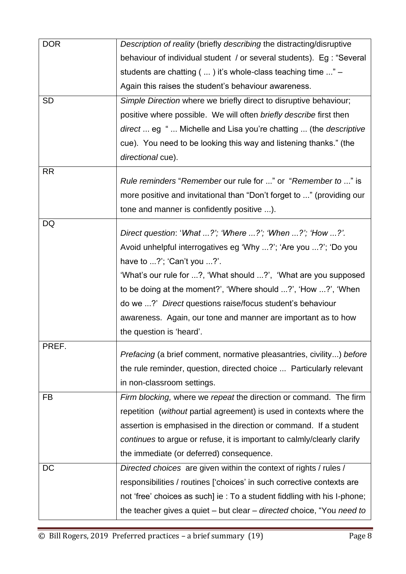| <b>DOR</b> | Description of reality (briefly describing the distracting/disruptive       |
|------------|-----------------------------------------------------------------------------|
|            | behaviour of individual student / or several students). Eg : "Several       |
|            | students are chatting (  ) it's whole-class teaching time " -               |
|            | Again this raises the student's behaviour awareness.                        |
| <b>SD</b>  | Simple Direction where we briefly direct to disruptive behaviour;           |
|            | positive where possible. We will often briefly describe first then          |
|            | direct  eg "  Michelle and Lisa you're chatting  (the descriptive           |
|            | cue). You need to be looking this way and listening thanks." (the           |
|            | directional cue).                                                           |
| <b>RR</b>  |                                                                             |
|            | Rule reminders "Remember our rule for " or "Remember to " is                |
|            | more positive and invitational than "Don't forget to " (providing our       |
| DQ         | tone and manner is confidently positive ).                                  |
|            | Direct question: 'What ?'; 'Where ?'; 'When ?'; 'How ?'.                    |
|            | Avoid unhelpful interrogatives eg 'Why ?'; 'Are you ?'; 'Do you             |
|            | have to $\ldots$ ?'; 'Can't you $\ldots$ ?'.                                |
|            | 'What's our rule for ?, 'What should ?', 'What are you supposed             |
|            | to be doing at the moment?', 'Where should ?', 'How ?', 'When               |
|            | do we ?' Direct questions raise/focus student's behaviour                   |
|            | awareness. Again, our tone and manner are important as to how               |
|            | the question is 'heard'.                                                    |
| PREF.      | <i>Prefacing</i> (a brief comment, normative pleasantries, civility) before |
|            | the rule reminder, question, directed choice  Particularly relevant         |
|            | in non-classroom settings.                                                  |
| <b>FB</b>  | Firm blocking, where we repeat the direction or command. The firm           |
|            | repetition (without partial agreement) is used in contexts where the        |
|            | assertion is emphasised in the direction or command. If a student           |
|            | continues to argue or refuse, it is important to calmly/clearly clarify     |
|            | the immediate (or deferred) consequence.                                    |
| <b>DC</b>  | Directed choices are given within the context of rights / rules /           |
|            | responsibilities / routines ['choices' in such corrective contexts are      |
|            | not 'free' choices as such] ie : To a student fiddling with his I-phone;    |
|            | the teacher gives a quiet - but clear - directed choice, "You need to       |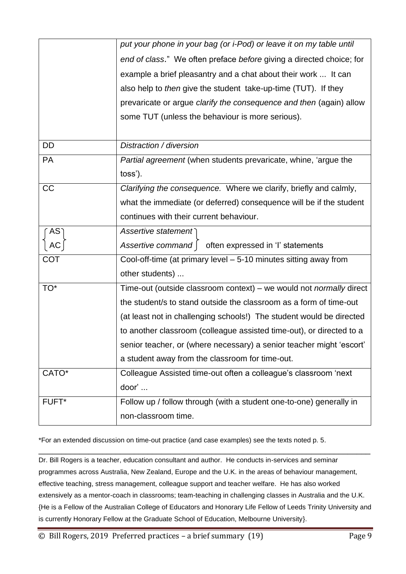|            | non-classroom time.                                                        |
|------------|----------------------------------------------------------------------------|
| FUFT*      | Follow up / follow through (with a student one-to-one) generally in        |
| CATO*      | Colleague Assisted time-out often a colleague's classroom 'next<br>door'   |
|            | a student away from the classroom for time-out.                            |
|            | senior teacher, or (where necessary) a senior teacher might 'escort'       |
|            | to another classroom (colleague assisted time-out), or directed to a       |
|            | (at least not in challenging schools!) The student would be directed       |
|            | the student/s to stand outside the classroom as a form of time-out         |
| TO*        | Time-out (outside classroom context) – we would not <i>normally</i> direct |
|            | other students)                                                            |
| <b>COT</b> | Cool-off-time (at primary level - 5-10 minutes sitting away from           |
| АC         | Assertive command  <br>often expressed in 'I' statements                   |
| $AS^-$     | Assertive statement                                                        |
|            | continues with their current behaviour.                                    |
|            | what the immediate (or deferred) consequence will be if the student        |
| CC         | Clarifying the consequence. Where we clarify, briefly and calmly,          |
|            | toss').                                                                    |
| <b>PA</b>  | <i>Partial agreement</i> (when students prevaricate, whine, 'argue the     |
| <b>DD</b>  | Distraction / diversion                                                    |
|            |                                                                            |
|            | some TUT (unless the behaviour is more serious).                           |
|            | prevaricate or argue clarify the consequence and then (again) allow        |
|            | also help to <i>then</i> give the student take-up-time (TUT). If they      |
|            | example a brief pleasantry and a chat about their work  It can             |
|            | end of class." We often preface before giving a directed choice; for       |
|            | put your phone in your bag (or i-Pod) or leave it on my table until        |
|            |                                                                            |

\*For an extended discussion on time-out practice (and case examples) see the texts noted p. 5.

Dr. Bill Rogers is a teacher, education consultant and author. He conducts in-services and seminar programmes across Australia, New Zealand, Europe and the U.K. in the areas of behaviour management, effective teaching, stress management, colleague support and teacher welfare. He has also worked extensively as a mentor-coach in classrooms; team-teaching in challenging classes in Australia and the U.K. {He is a Fellow of the Australian College of Educators and Honorary Life Fellow of Leeds Trinity University and is currently Honorary Fellow at the Graduate School of Education, Melbourne University}.

\_\_\_\_\_\_\_\_\_\_\_\_\_\_\_\_\_\_\_\_\_\_\_\_\_\_\_\_\_\_\_\_\_\_\_\_\_\_\_\_\_\_\_\_\_\_\_\_\_\_\_\_\_\_\_\_\_\_\_\_\_\_\_\_\_\_\_\_\_\_\_\_\_

© Bill Rogers, 2019 Preferred practices – a brief summary (19) Page 9